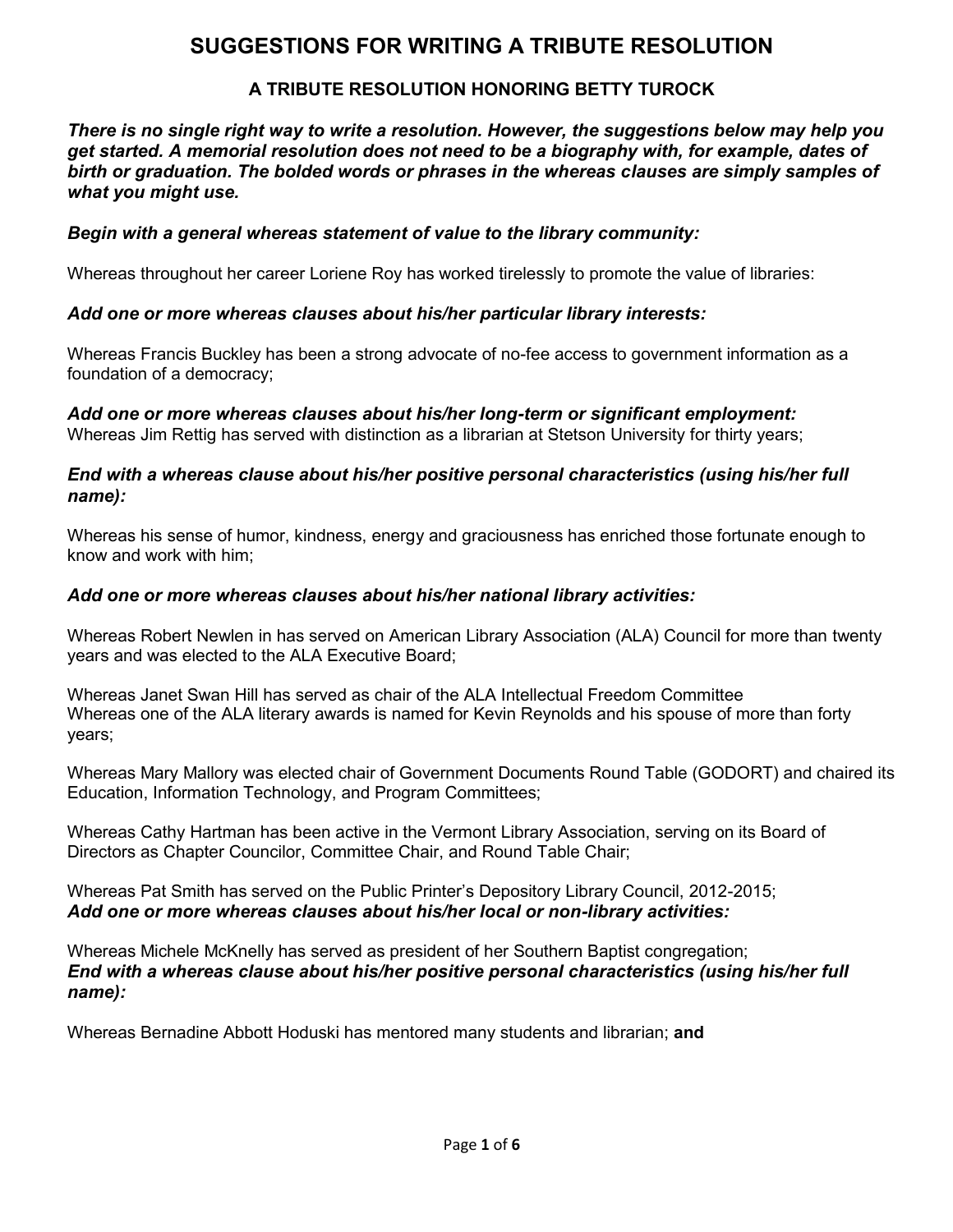# **SUGGESTIONS FOR WRITING A TRIBUTE RESOLUTION**

### **A TRIBUTE RESOLUTION HONORING BETTY TUROCK**

*There is no single right way to write a resolution. However, the suggestions below may help you get started. A memorial resolution does not need to be a biography with, for example, dates of birth or graduation. The bolded words or phrases in the whereas clauses are simply samples of what you might use.* 

#### *Begin with a general whereas statement of value to the library community:*

Whereas throughout her career Loriene Roy has worked tirelessly to promote the value of libraries:

#### *Add one or more whereas clauses about his/her particular library interests:*

Whereas Francis Buckley has been a strong advocate of no-fee access to government information as a foundation of a democracy;

*Add one or more whereas clauses about his/her long-term or significant employment:*  Whereas Jim Rettig has served with distinction as a librarian at Stetson University for thirty years;

#### *End with a whereas clause about his/her positive personal characteristics (using his/her full name):*

Whereas his sense of humor, kindness, energy and graciousness has enriched those fortunate enough to know and work with him;

#### *Add one or more whereas clauses about his/her national library activities:*

Whereas Robert Newlen in has served on American Library Association (ALA) Council for more than twenty years and was elected to the ALA Executive Board;

Whereas Janet Swan Hill has served as chair of the ALA Intellectual Freedom Committee Whereas one of the ALA literary awards is named for Kevin Reynolds and his spouse of more than forty years;

Whereas Mary Mallory was elected chair of Government Documents Round Table (GODORT) and chaired its Education, Information Technology, and Program Committees;

Whereas Cathy Hartman has been active in the Vermont Library Association, serving on its Board of Directors as Chapter Councilor, Committee Chair, and Round Table Chair;

Whereas Pat Smith has served on the Public Printer's Depository Library Council, 2012-2015; *Add one or more whereas clauses about his/her local or non-library activities:* 

Whereas Michele McKnelly has served as president of her Southern Baptist congregation; *End with a whereas clause about his/her positive personal characteristics (using his/her full name):*

Whereas Bernadine Abbott Hoduski has mentored many students and librarian; **and**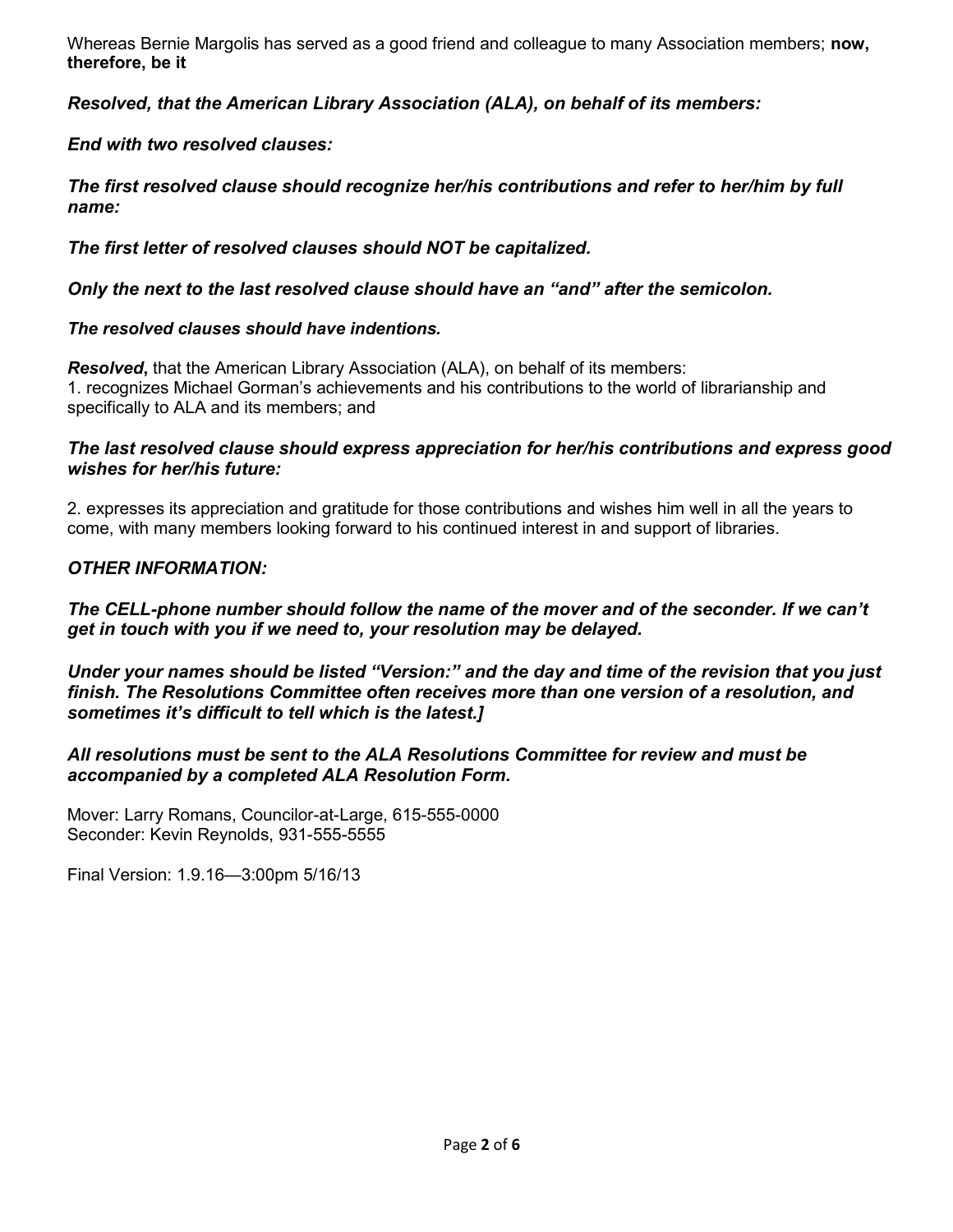Whereas Bernie Margolis has served as a good friend and colleague to many Association members; **now, therefore, be it** 

*Resolved, that the American Library Association (ALA), on behalf of its members:* 

*End with two resolved clauses:* 

*The first resolved clause should recognize her/his contributions and refer to her/him by full name:* 

*The first letter of resolved clauses should NOT be capitalized.*

*Only the next to the last resolved clause should have an "and" after the semicolon.*

#### *The resolved clauses should have indentions.*

*Resolved***,** that the American Library Association (ALA), on behalf of its members: 1. recognizes Michael Gorman's achievements and his contributions to the world of librarianship and specifically to ALA and its members; and

#### *The last resolved clause should express appreciation for her/his contributions and express good wishes for her/his future:*

2. expresses its appreciation and gratitude for those contributions and wishes him well in all the years to come, with many members looking forward to his continued interest in and support of libraries.

#### *OTHER INFORMATION:*

#### *The CELL-phone number should follow the name of the mover and of the seconder. If we can't get in touch with you if we need to, your resolution may be delayed.*

*Under your names should be listed "Version:" and the day and time of the revision that you just finish. The Resolutions Committee often receives more than one version of a resolution, and sometimes it's difficult to tell which is the latest.]* 

*All resolutions must be sent to the ALA Resolutions Committee for review and must be accompanied by a completed ALA Resolution Form.*

Mover: Larry Romans, Councilor-at-Large, 615-555-0000 Seconder: Kevin Reynolds, 931-555-5555

Final Version: 1.9.16—3:00pm 5/16/13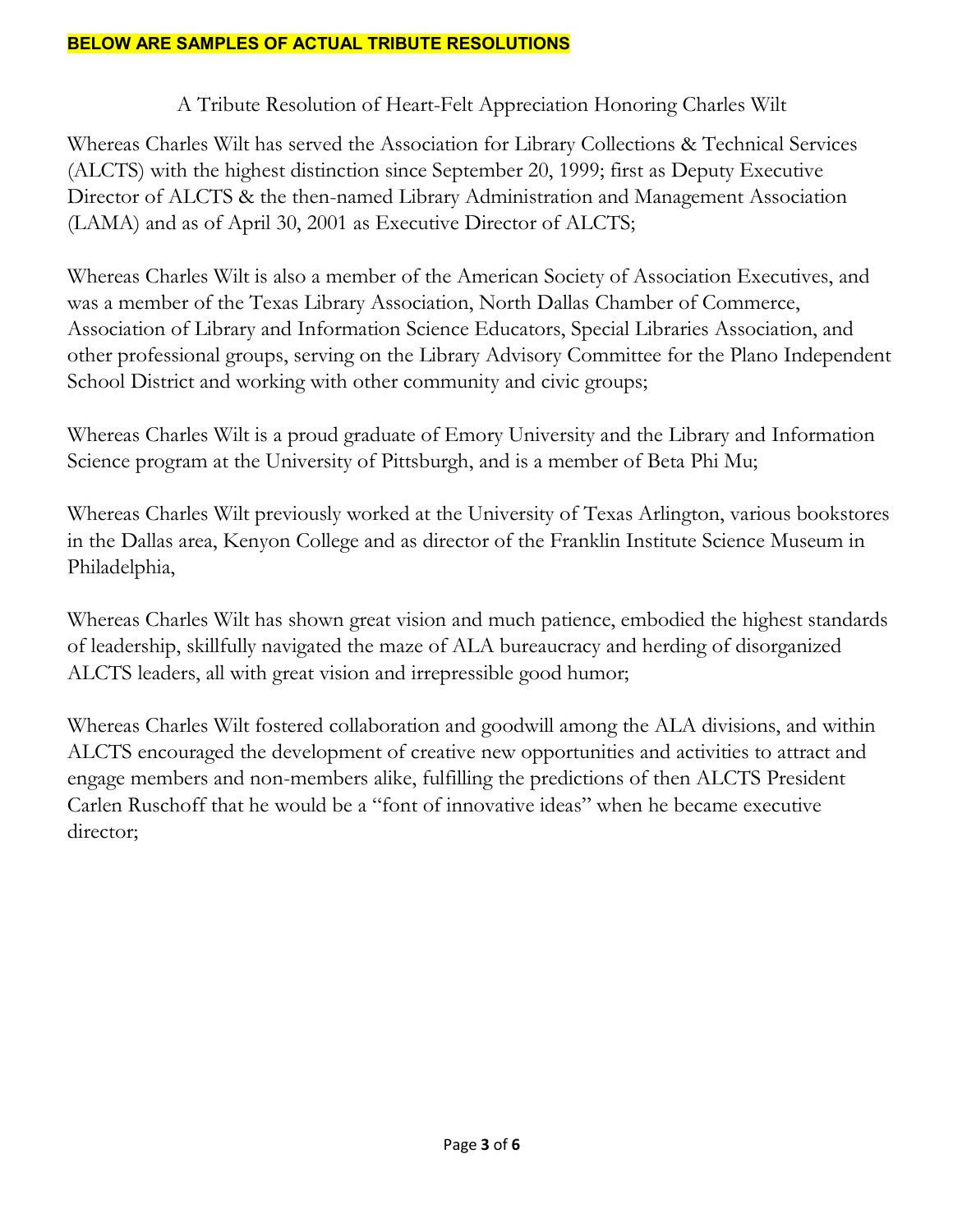### A Tribute Resolution of Heart-Felt Appreciation Honoring Charles Wilt

Whereas Charles Wilt has served the Association for Library Collections & Technical Services (ALCTS) with the highest distinction since September 20, 1999; first as Deputy Executive Director of ALCTS & the then-named Library Administration and Management Association (LAMA) and as of April 30, 2001 as Executive Director of ALCTS;

Whereas Charles Wilt is also a member of the American Society of Association Executives, and was a member of the Texas Library Association, North Dallas Chamber of Commerce, Association of Library and Information Science Educators, Special Libraries Association, and other professional groups, serving on the Library Advisory Committee for the Plano Independent School District and working with other community and civic groups;

Whereas Charles Wilt is a proud graduate of Emory University and the Library and Information Science program at the University of Pittsburgh, and is a member of Beta Phi Mu;

Whereas Charles Wilt previously worked at the University of Texas Arlington, various bookstores in the Dallas area, Kenyon College and as director of the Franklin Institute Science Museum in Philadelphia,

Whereas Charles Wilt has shown great vision and much patience, embodied the highest standards of leadership, skillfully navigated the maze of ALA bureaucracy and herding of disorganized ALCTS leaders, all with great vision and irrepressible good humor;

Whereas Charles Wilt fostered collaboration and goodwill among the ALA divisions, and within ALCTS encouraged the development of creative new opportunities and activities to attract and engage members and non-members alike, fulfilling the predictions of then ALCTS President Carlen Ruschoff that he would be a "font of innovative ideas" when he became executive director: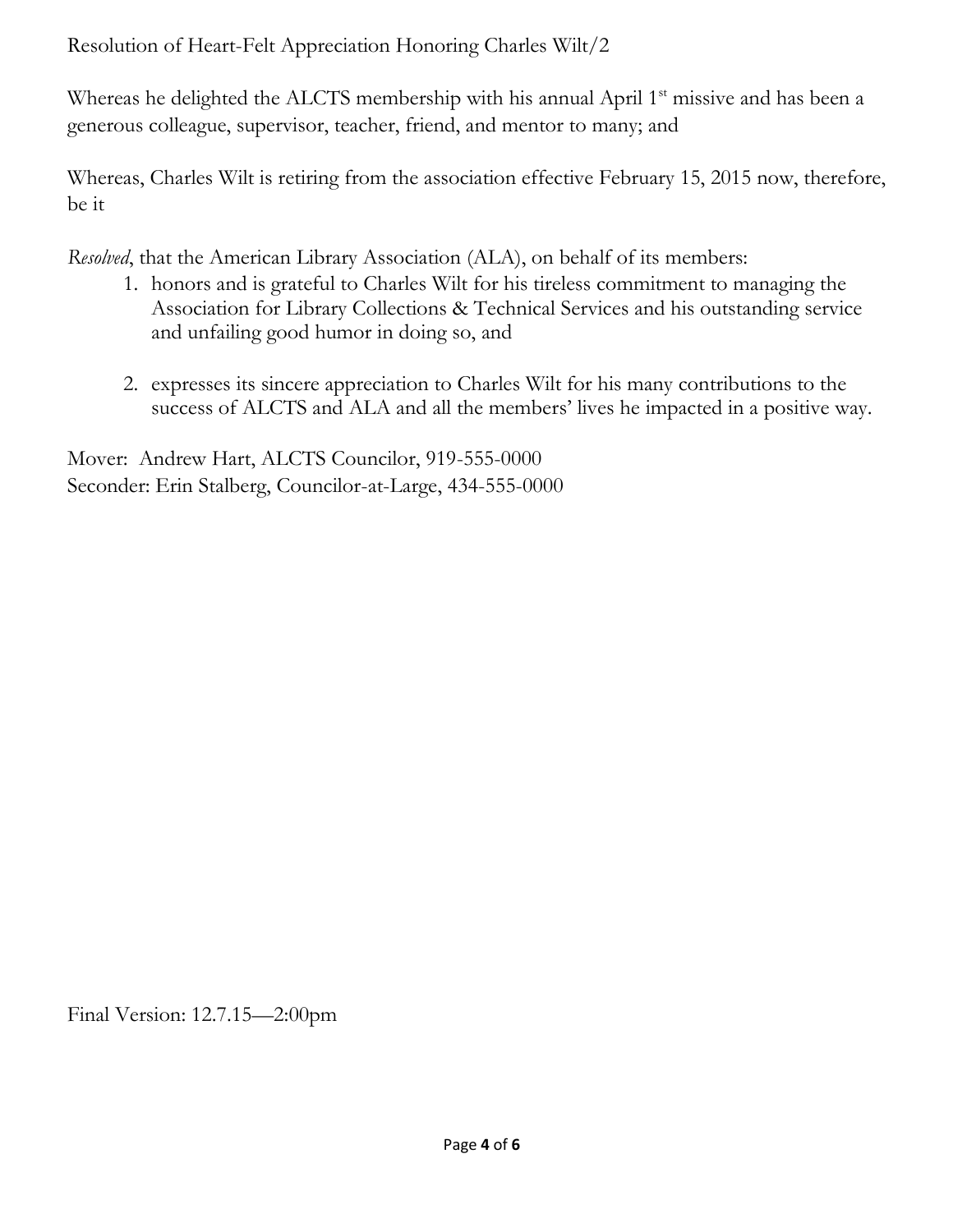Resolution of Heart-Felt Appreciation Honoring Charles Wilt/2

Whereas he delighted the ALCTS membership with his annual April 1<sup>st</sup> missive and has been a generous colleague, supervisor, teacher, friend, and mentor to many; and

Whereas, Charles Wilt is retiring from the association effective February 15, 2015 now, therefore, be it

*Resolved*, that the American Library Association (ALA), on behalf of its members:

- 1. honors and is grateful to Charles Wilt for his tireless commitment to managing the Association for Library Collections & Technical Services and his outstanding service and unfailing good humor in doing so, and
- 2. expresses its sincere appreciation to Charles Wilt for his many contributions to the success of ALCTS and ALA and all the members' lives he impacted in a positive way.

Mover: Andrew Hart, ALCTS Councilor, 919-555-0000 Seconder: Erin Stalberg, Councilor-at-Large, 434-555-0000

Final Version: 12.7.15—2:00pm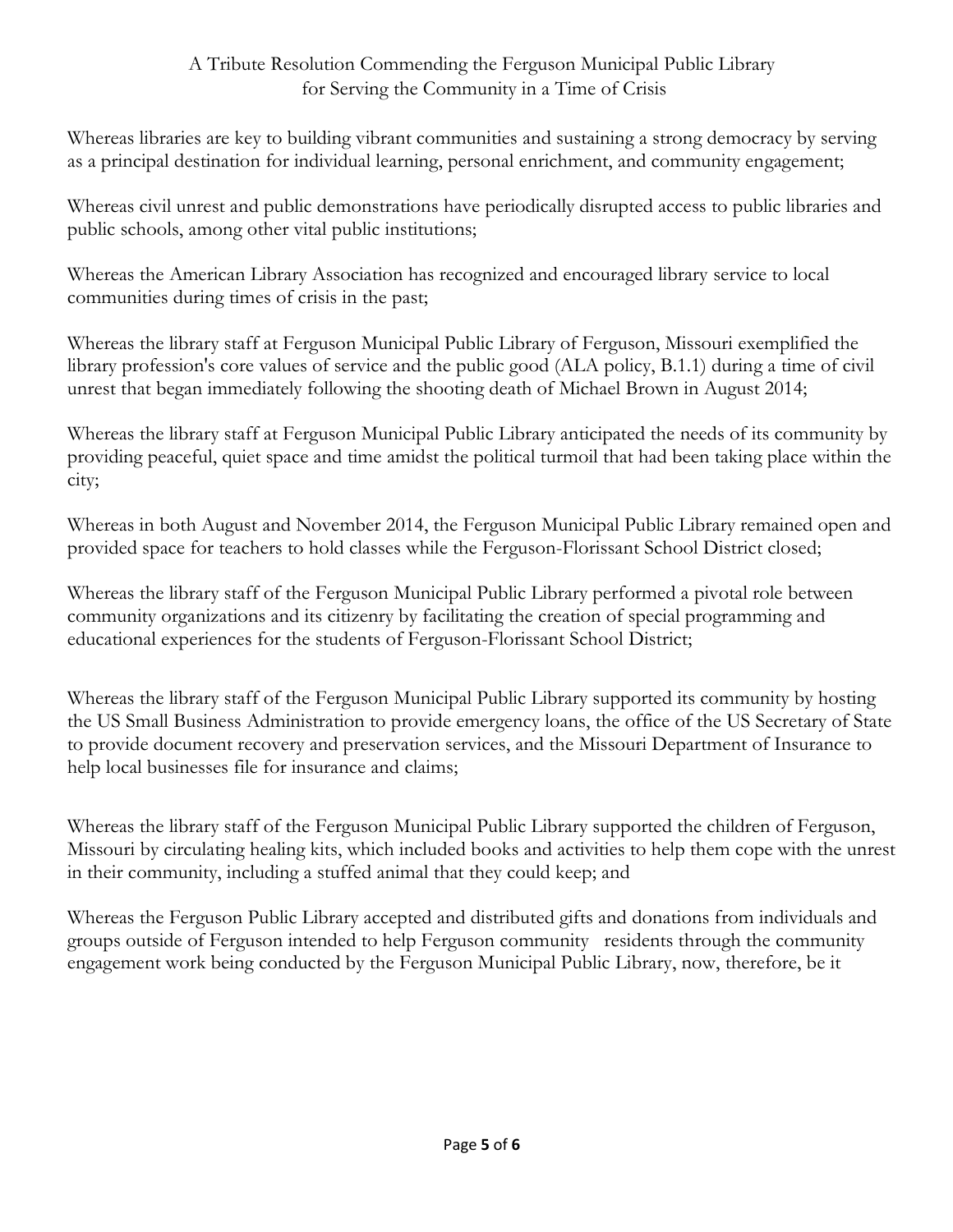## A Tribute Resolution Commending the Ferguson Municipal Public Library for Serving the Community in a Time of Crisis

Whereas libraries are key to building vibrant communities and sustaining a strong democracy by serving as a principal destination for individual learning, personal enrichment, and community engagement;

Whereas civil unrest and public demonstrations have periodically disrupted access to public libraries and public schools, among other vital public institutions;

Whereas the American Library Association has recognized and encouraged library service to local communities during times of crisis in the past;

Whereas the library staff at Ferguson Municipal Public Library of Ferguson, Missouri exemplified the library profession's core values of service and the public good (ALA policy, B.1.1) during a time of civil unrest that began immediately following the shooting death of Michael Brown in August 2014;

Whereas the library staff at Ferguson Municipal Public Library anticipated the needs of its community by providing peaceful, quiet space and time amidst the political turmoil that had been taking place within the city;

Whereas in both August and November 2014, the Ferguson Municipal Public Library remained open and provided space for teachers to hold classes while the Ferguson-Florissant School District closed;

Whereas the library staff of the Ferguson Municipal Public Library performed a pivotal role between community organizations and its citizenry by facilitating the creation of special programming and educational experiences for the students of Ferguson-Florissant School District;

Whereas the library staff of the Ferguson Municipal Public Library supported its community by hosting the US Small Business Administration to provide emergency loans, the office of the US Secretary of State to provide document recovery and preservation services, and the Missouri Department of Insurance to help local businesses file for insurance and claims;

Whereas the library staff of the Ferguson Municipal Public Library supported the children of Ferguson, Missouri by circulating healing kits, which included books and activities to help them cope with the unrest in their community, including a stuffed animal that they could keep; and

Whereas the Ferguson Public Library accepted and distributed gifts and donations from individuals and groups outside of Ferguson intended to help Ferguson community residents through the community engagement work being conducted by the Ferguson Municipal Public Library, now, therefore, be it